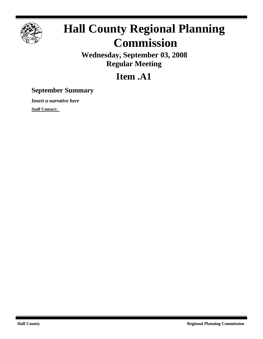

## **Hall County Regional Planning Commission**

**Wednesday, September 03, 2008 Regular Meeting**

## **Item .A1**

## **September Summary**

*Insert a narrative here*

**Staff Contact:**